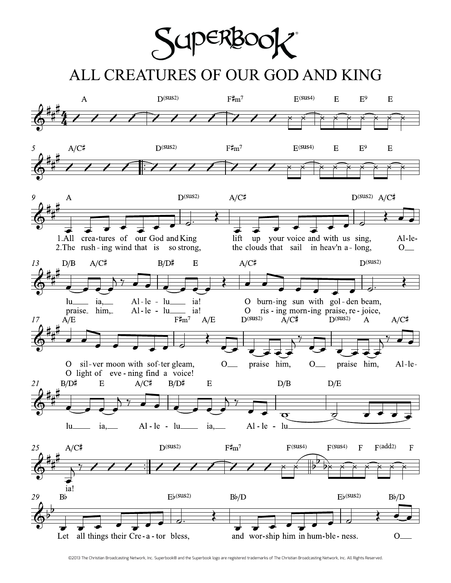Super

## ALL CREATURES OF OUR GOD AND KING



©2013 The Christian Broadcasting Network, Inc. Superbook® and the Superbook logo are registered trademarks of The Christian Broadcasting Network, Inc. All Rights Reserved.